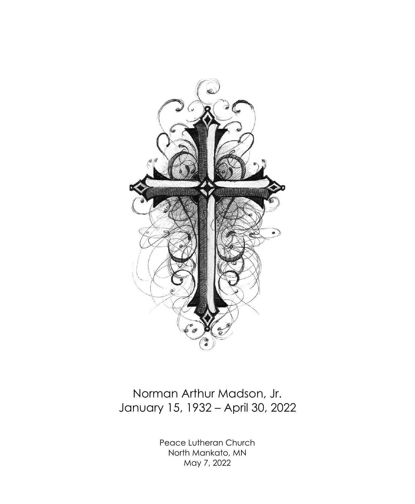

# Norman Arthur Madson, Jr. January 15, 1932 – April 30, 2022

Peace Lutheran Church North Mankato, MN May 7, 2022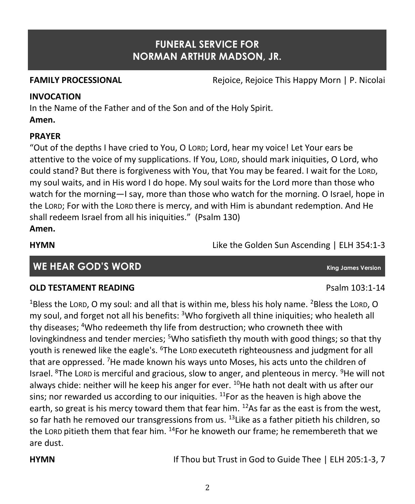## **FUNERAL SERVICE FOR NORMAN ARTHUR MADSON, JR.**

**FAMILY PROCESSIONAL** Rejoice, Rejoice This Happy Morn | P. Nicolai

#### **INVOCATION**

In the Name of the Father and of the Son and of the Holy Spirit. **Amen.**

#### **PRAYER**

"Out of the depths I have cried to You, O LORD; Lord, hear my voice! Let Your ears be attentive to the voice of my supplications. If You, LORD, should mark iniquities, O Lord, who could stand? But there is forgiveness with You, that You may be feared. I wait for the LORD, my soul waits, and in His word I do hope. My soul waits for the Lord more than those who watch for the morning—I say, more than those who watch for the morning. O Israel, hope in the LORD; For with the LORD there is mercy, and with Him is abundant redemption. And He shall redeem Israel from all his iniquities." (Psalm 130) **Amen.**

**HYMN** Like the Golden Sun Ascending | ELH 354:1-3

**WE HEAR GOD'S WORD King James Version**

### **OLD TESTAMENT READING Properties and the COLD TESTAMENT READING**

<sup>1</sup>Bless the LORD, O my soul: and all that is within me, bless his holy name. <sup>2</sup>Bless the LORD, O my soul, and forget not all his benefits:  $3$ Who forgiveth all thine iniquities; who healeth all thy diseases; <sup>4</sup>Who redeemeth thy life from destruction; who crowneth thee with lovingkindness and tender mercies; <sup>5</sup>Who satisfieth thy mouth with good things; so that thy youth is renewed like the eagle's. <sup>6</sup>The LORD executeth righteousness and judgment for all that are oppressed. <sup>7</sup>He made known his ways unto Moses, his acts unto the children of Israel. <sup>8</sup>The LORD is merciful and gracious, slow to anger, and plenteous in mercy. <sup>9</sup>He will not always chide: neither will he keep his anger for ever.  $^{10}$ He hath not dealt with us after our sins; nor rewarded us according to our iniquities.  $11$ For as the heaven is high above the earth, so great is his mercy toward them that fear him.  $^{12}$ As far as the east is from the west. so far hath he removed our transgressions from us.  $^{13}$  Like as a father pitieth his children, so the LORD pitieth them that fear him.  $^{14}$ For he knoweth our frame; he remembereth that we are dust.

**HYMN If Thou but Trust in God to Guide Thee | ELH 205:1-3, 7**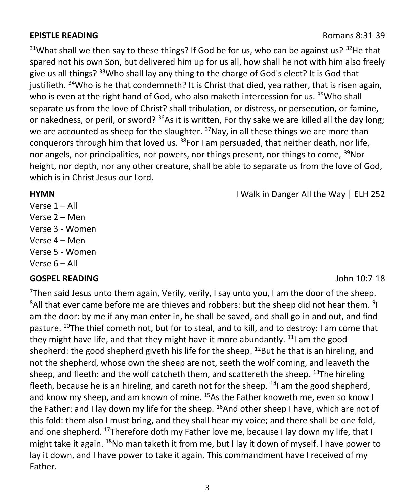### **EPISTLE READING Romans 8:31-39**

 $31$ What shall we then say to these things? If God be for us, who can be against us?  $32$ He that spared not his own Son, but delivered him up for us all, how shall he not with him also freely give us all things? <sup>33</sup>Who shall lay any thing to the charge of God's elect? It is God that justifieth. <sup>34</sup>Who is he that condemneth? It is Christ that died, yea rather, that is risen again, who is even at the right hand of God, who also maketh intercession for us. <sup>35</sup>Who shall separate us from the love of Christ? shall tribulation, or distress, or persecution, or famine, or nakedness, or peril, or sword?  $36As$  it is written, For thy sake we are killed all the day long; we are accounted as sheep for the slaughter. <sup>37</sup>Nay, in all these things we are more than conquerors through him that loved us.  $38$ For I am persuaded, that neither death, nor life, nor angels, nor principalities, nor powers, nor things present, nor things to come, <sup>39</sup>Nor height, nor depth, nor any other creature, shall be able to separate us from the love of God, which is in Christ Jesus our Lord.

#### **HYMN I** Walk in Danger All the Way | ELH 252

Verse 1 – All

- Verse 2 Men
- Verse 3 Women
- Verse 4 Men
- Verse 5 Women
- Verse 6 All

### **GOSPEL READING** John 10:7-18

<sup>7</sup>Then said Jesus unto them again, Verily, verily, I say unto you, I am the door of the sheep.  ${}^{8}$ All that ever came before me are thieves and robbers: but the sheep did not hear them.  ${}^{9}$ I am the door: by me if any man enter in, he shall be saved, and shall go in and out, and find pasture. <sup>10</sup>The thief cometh not, but for to steal, and to kill, and to destroy: I am come that they might have life, and that they might have it more abundantly.  $11$  am the good shepherd: the good shepherd giveth his life for the sheep. <sup>12</sup>But he that is an hireling, and not the shepherd, whose own the sheep are not, seeth the wolf coming, and leaveth the sheep, and fleeth: and the wolf catcheth them, and scattereth the sheep.  $^{13}$ The hireling fleeth, because he is an hireling, and careth not for the sheep.  $14$ I am the good shepherd, and know my sheep, and am known of mine. <sup>15</sup>As the Father knoweth me, even so know I the Father: and I lay down my life for the sheep.  $^{16}$ And other sheep I have, which are not of this fold: them also I must bring, and they shall hear my voice; and there shall be one fold, and one shepherd.  $^{17}$ Therefore doth my Father love me, because I lay down my life, that I might take it again.  $^{18}$ No man taketh it from me, but I lay it down of myself. I have power to lay it down, and I have power to take it again. This commandment have I received of my Father.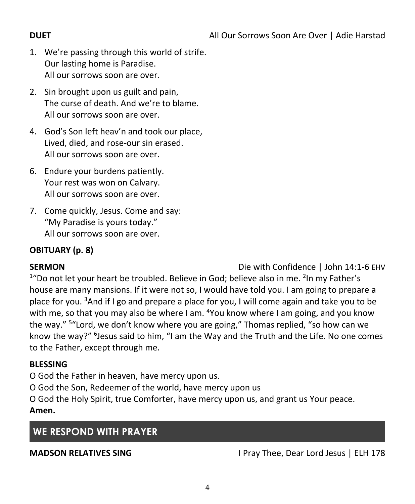- 1. We're passing through this world of strife. Our lasting home is Paradise. All our sorrows soon are over.
- 2. Sin brought upon us guilt and pain, The curse of death. And we're to blame. All our sorrows soon are over.
- 4. God's Son left heav'n and took our place, Lived, died, and rose-our sin erased. All our sorrows soon are over.
- 6. Endure your burdens patiently. Your rest was won on Calvary. All our sorrows soon are over.
- 7. Come quickly, Jesus. Come and say: "My Paradise is yours today." All our sorrows soon are over.

# **OBITUARY (p. 8)**

**SERMON** Die with Confidence | John 14:1-6 EHV

<sup>1</sup>"Do not let your heart be troubled. Believe in God; believe also in me. <sup>2</sup>In my Father's house are many mansions. If it were not so, I would have told you. I am going to prepare a place for you.  $3$ And if I go and prepare a place for you, I will come again and take you to be with me, so that you may also be where I am, <sup>4</sup>You know where I am going, and you know the way." <sup>5</sup> "Lord, we don't know where you are going," Thomas replied, "so how can we know the way?" <sup>6</sup>Jesus said to him, "I am the Way and the Truth and the Life. No one comes to the Father, except through me.

## **BLESSING**

O God the Father in heaven, have mercy upon us.

O God the Son, Redeemer of the world, have mercy upon us

O God the Holy Spirit, true Comforter, have mercy upon us, and grant us Your peace. **Amen.**

# **WE RESPOND WITH PRAYER**

**MADSON RELATIVES SING** I Pray Thee, Dear Lord Jesus | ELH 178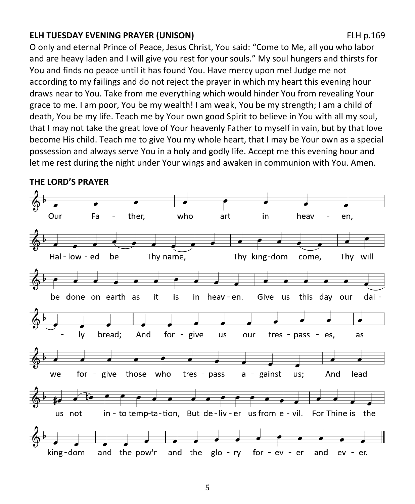### **ELH TUESDAY EVENING PRAYER (UNISON)** ELH p.169

O only and eternal Prince of Peace, Jesus Christ, You said: "Come to Me, all you who labor and are heavy laden and I will give you rest for your souls." My soul hungers and thirsts for You and finds no peace until it has found You. Have mercy upon me! Judge me not according to my failings and do not reject the prayer in which my heart this evening hour draws near to You. Take from me everything which would hinder You from revealing Your grace to me. I am poor, You be my wealth! I am weak, You be my strength; I am a child of death, You be my life. Teach me by Your own good Spirit to believe in You with all my soul, that I may not take the great love of Your heavenly Father to myself in vain, but by that love become His child. Teach me to give You my whole heart, that I may be Your own as a special possession and always serve You in a holy and godly life. Accept me this evening hour and let me rest during the night under Your wings and awaken in communion with You. Amen.



**THE LORD'S PRAYER**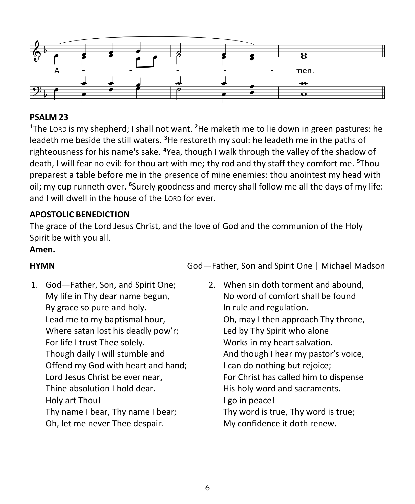

### **PSALM 23**

<sup>1</sup>The LORD is my shepherd; I shall not want. **<sup>2</sup>**He maketh me to lie down in green pastures: he leadeth me beside the still waters. **<sup>3</sup>**He restoreth my soul: he leadeth me in the paths of righteousness for his name's sake. **<sup>4</sup>**Yea, though I walk through the valley of the shadow of death, I will fear no evil: for thou art with me; thy rod and thy staff they comfort me. **<sup>5</sup>**Thou preparest a table before me in the presence of mine enemies: thou anointest my head with oil; my cup runneth over. **<sup>6</sup>**Surely goodness and mercy shall follow me all the days of my life: and I will dwell in the house of the LORD for ever.

### **APOSTOLIC BENEDICTION**

The grace of the Lord Jesus Christ, and the love of God and the communion of the Holy Spirit be with you all.

#### **Amen.**

1. God—Father, Son, and Spirit One; My life in Thy dear name begun, By grace so pure and holy. Lead me to my baptismal hour, Where satan lost his deadly pow'r; For life I trust Thee solely. Though daily I will stumble and Offend my God with heart and hand; Lord Jesus Christ be ever near, Thine absolution I hold dear. Holy art Thou! Thy name I bear, Thy name I bear; Oh, let me never Thee despair.

**HYMN** God*—*Father, Son and Spirit One | Michael Madson

2. When sin doth torment and abound, No word of comfort shall be found In rule and regulation. Oh, may I then approach Thy throne, Led by Thy Spirit who alone Works in my heart salvation. And though I hear my pastor's voice, I can do nothing but rejoice; For Christ has called him to dispense His holy word and sacraments. I go in peace! Thy word is true, Thy word is true; My confidence it doth renew.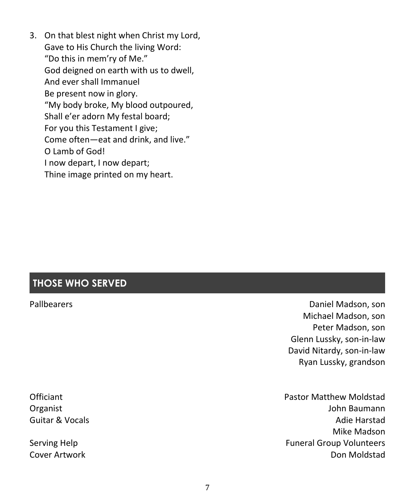3. On that blest night when Christ my Lord, Gave to His Church the living Word: "Do this in mem'ry of Me." God deigned on earth with us to dwell, And ever shall Immanuel Be present now in glory. "My body broke, My blood outpoured, Shall e'er adorn My festal board; For you this Testament I give; Come often—eat and drink, and live." O Lamb of God! I now depart, I now depart; Thine image printed on my heart.

# **THOSE WHO SERVED**

Pallbearers Daniel Madson, son Michael Madson, son Peter Madson, son Glenn Lussky, son-in-law David Nitardy, son-in-law Ryan Lussky, grandson

Officiant Pastor Matthew Moldstad Organist John Baumann Guitar & Vocals Adie Harstad Mike Madson Serving Help Funeral Group Volunteers Cover Artwork Don Moldstad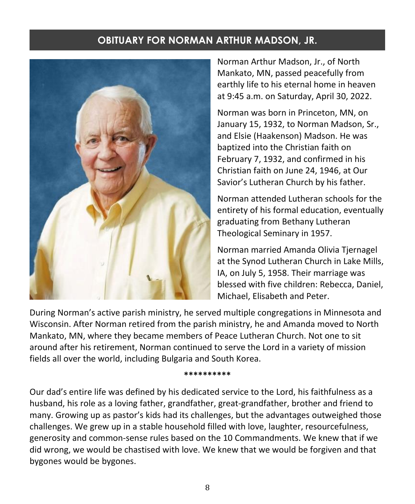# **OBITUARY FOR NORMAN ARTHUR MADSON, JR.**



Norman Arthur Madson, Jr., of North Mankato, MN, passed peacefully from earthly life to his eternal home in heaven at 9:45 a.m. on Saturday, April 30, 2022.

Norman was born in Princeton, MN, on January 15, 1932, to Norman Madson, Sr., and Elsie (Haakenson) Madson. He was baptized into the Christian faith on February 7, 1932, and confirmed in his Christian faith on June 24, 1946, at Our Savior's Lutheran Church by his father.

Norman attended Lutheran schools for the entirety of his formal education, eventually graduating from Bethany Lutheran Theological Seminary in 1957.

Norman married Amanda Olivia Tjernagel at the Synod Lutheran Church in Lake Mills, IA, on July 5, 1958. Their marriage was blessed with five children: Rebecca, Daniel, Michael, Elisabeth and Peter.

During Norman's active parish ministry, he served multiple congregations in Minnesota and Wisconsin. After Norman retired from the parish ministry, he and Amanda moved to North Mankato, MN, where they became members of Peace Lutheran Church. Not one to sit around after his retirement, Norman continued to serve the Lord in a variety of mission fields all over the world, including Bulgaria and South Korea.

**\*\*\*\*\*\*\*\*\*\***

Our dad's entire life was defined by his dedicated service to the Lord, his faithfulness as a husband, his role as a loving father, grandfather, great-grandfather, brother and friend to many. Growing up as pastor's kids had its challenges, but the advantages outweighed those challenges. We grew up in a stable household filled with love, laughter, resourcefulness, generosity and common-sense rules based on the 10 Commandments. We knew that if we did wrong, we would be chastised with love. We knew that we would be forgiven and that bygones would be bygones.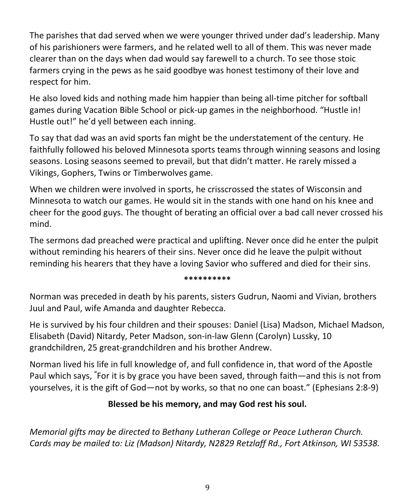The parishes that dad served when we were younger thrived under dad's leadership. Many of his parishioners were farmers, and he related well to all of them. This was never made clearer than on the days when dad would say farewell to a church. To see those stoic farmers crying in the pews as he said goodbye was honest testimony of their love and respect for him.

He also loved kids and nothing made him happier than being all-time pitcher for softball games during Vacation Bible School or pick-up games in the neighborhood. "Hustle in! Hustle out!" he'd yell between each inning.

To say that dad was an avid sports fan might be the understatement of the century. He faithfully followed his beloved Minnesota sports teams through winning seasons and losing seasons. Losing seasons seemed to prevail, but that didn't matter. He rarely missed a Vikings, Gophers, Twins or Timberwolves game.

When we children were involved in sports, he crisscrossed the states of Wisconsin and Minnesota to watch our games. He would sit in the stands with one hand on his knee and cheer for the good guys. The thought of berating an official over a bad call never crossed his mind.

The sermons dad preached were practical and uplifting. Never once did he enter the pulpit without reminding his hearers of their sins. Never once did he leave the pulpit without reminding his hearers that they have a loving Savior who suffered and died for their sins.

#### **\*\*\*\*\*\*\*\*\*\***

Norman was preceded in death by his parents, sisters Gudrun, Naomi and Vivian, brothers Juul and Paul, wife Amanda and daughter Rebecca.

He is survived by his four children and their spouses: Daniel (Lisa) Madson, Michael Madson, Elisabeth (David) Nitardy, Peter Madson, son-in-law Glenn (Carolyn) Lussky, 10 grandchildren, 25 great-grandchildren and his brother Andrew.

Norman lived his life in full knowledge of, and full confidence in, that word of the Apostle Paul which says, **"**For it is by grace you have been saved, through faith—and this is not from yourselves, it is the gift of God—not by works, so that no one can boast." (Ephesians 2:8-9)

### **Blessed be his memory, and may God rest his soul.**

*Memorial gifts may be directed to Bethany Lutheran College or Peace Lutheran Church. Cards may be mailed to: Liz (Madson) Nitardy, N2829 Retzlaff Rd., Fort Atkinson, WI 53538.*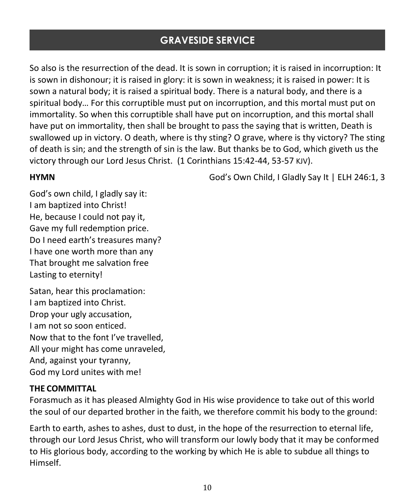# **GRAVESIDE SERVICE**

So also is the resurrection of the dead. It is sown in corruption; it is raised in incorruption: It is sown in dishonour; it is raised in glory: it is sown in weakness; it is raised in power: It is sown a natural body; it is raised a spiritual body. There is a natural body, and there is a spiritual body… For this corruptible must put on incorruption, and this mortal must put on immortality. So when this corruptible shall have put on incorruption, and this mortal shall have put on immortality, then shall be brought to pass the saying that is written, Death is swallowed up in victory. O death, where is thy sting? O grave, where is thy victory? The sting of death is sin; and the strength of sin is the law. But thanks be to God, which giveth us the victory through our Lord Jesus Christ. (1 Corinthians 15:42-44, 53-57 KJV).

**HYMN God's Own Child, I Gladly Say It | ELH 246:1, 3** 

God's own child, I gladly say it: I am baptized into Christ! He, because I could not pay it, Gave my full redemption price. Do I need earth's treasures many? I have one worth more than any That brought me salvation free Lasting to eternity!

Satan, hear this proclamation: I am baptized into Christ. Drop your ugly accusation, I am not so soon enticed. Now that to the font I've travelled, All your might has come unraveled, And, against your tyranny, God my Lord unites with me!

### **THE COMMITTAL**

Forasmuch as it has pleased Almighty God in His wise providence to take out of this world the soul of our departed brother in the faith, we therefore commit his body to the ground:

Earth to earth, ashes to ashes, dust to dust, in the hope of the resurrection to eternal life, through our Lord Jesus Christ, who will transform our lowly body that it may be conformed to His glorious body, according to the working by which He is able to subdue all things to Himself.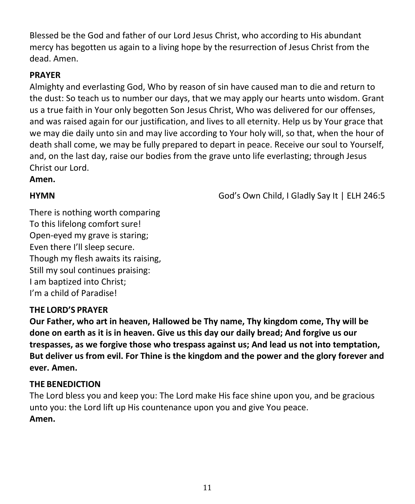Blessed be the God and father of our Lord Jesus Christ, who according to His abundant mercy has begotten us again to a living hope by the resurrection of Jesus Christ from the dead. Amen.

### **PRAYER**

Almighty and everlasting God, Who by reason of sin have caused man to die and return to the dust: So teach us to number our days, that we may apply our hearts unto wisdom. Grant us a true faith in Your only begotten Son Jesus Christ, Who was delivered for our offenses, and was raised again for our justification, and lives to all eternity. Help us by Your grace that we may die daily unto sin and may live according to Your holy will, so that, when the hour of death shall come, we may be fully prepared to depart in peace. Receive our soul to Yourself, and, on the last day, raise our bodies from the grave unto life everlasting; through Jesus Christ our Lord.

### **Amen.**

**HYMN God's Own Child, I Gladly Say It | ELH 246:5** 

There is nothing worth comparing To this lifelong comfort sure! Open-eyed my grave is staring; Even there I'll sleep secure. Though my flesh awaits its raising, Still my soul continues praising: I am baptized into Christ; I'm a child of Paradise!

### **THE LORD'S PRAYER**

**Our Father, who art in heaven, Hallowed be Thy name, Thy kingdom come, Thy will be done on earth as it is in heaven. Give us this day our daily bread; And forgive us our trespasses, as we forgive those who trespass against us; And lead us not into temptation, But deliver us from evil. For Thine is the kingdom and the power and the glory forever and ever. Amen.**

## **THE BENEDICTION**

The Lord bless you and keep you: The Lord make His face shine upon you, and be gracious unto you: the Lord lift up His countenance upon you and give You peace. **Amen.**